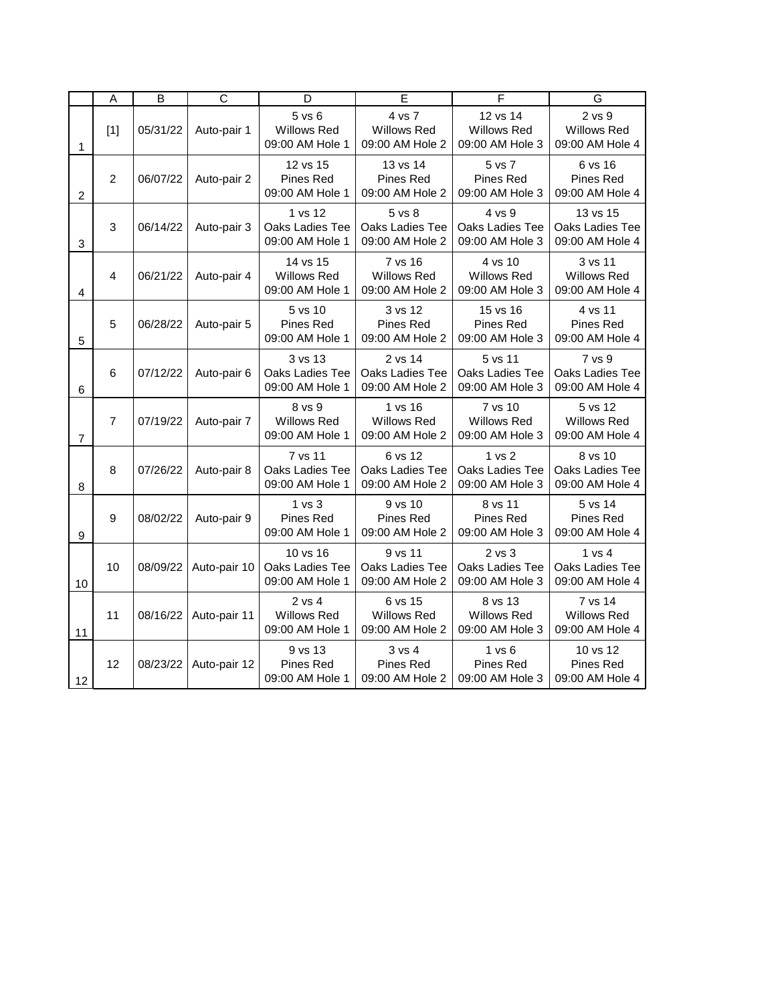|                 | A                       | B        | $\overline{C}$ | D                                                    | E                                                    | F                                                    | G                                                |
|-----------------|-------------------------|----------|----------------|------------------------------------------------------|------------------------------------------------------|------------------------------------------------------|--------------------------------------------------|
| 1               | [1]                     | 05/31/22 | Auto-pair 1    | $5$ vs $6$<br>Willows Red<br>09:00 AM Hole 1         | 4 vs 7<br><b>Willows Red</b><br>09:00 AM Hole 2      | 12 vs 14<br><b>Willows Red</b><br>09:00 AM Hole 3    | 2 vs 9<br><b>Willows Red</b><br>09:00 AM Hole 4  |
| $\overline{c}$  | $\overline{2}$          | 06/07/22 | Auto-pair 2    | 12 vs 15<br>Pines Red<br>09:00 AM Hole 1             | 13 vs 14<br>Pines Red<br>09:00 AM Hole 2             | 5 vs 7<br>Pines Red<br>09:00 AM Hole 3               | 6 vs 16<br>Pines Red<br>09:00 AM Hole 4          |
| 3               | 3                       | 06/14/22 | Auto-pair 3    | 1 vs 12<br>Oaks Ladies Tee<br>09:00 AM Hole 1        | 5 vs 8<br>Oaks Ladies Tee<br>09:00 AM Hole 2         | 4 vs 9<br>Oaks Ladies Tee<br>09:00 AM Hole 3         | 13 vs 15<br>Oaks Ladies Tee<br>09:00 AM Hole 4   |
| 4               | $\overline{\mathbf{A}}$ | 06/21/22 | Auto-pair 4    | 14 vs 15<br><b>Willows Red</b><br>09:00 AM Hole 1    | 7 vs 16<br>Willows Red<br>09:00 AM Hole 2            | 4 vs 10<br><b>Willows Red</b><br>09:00 AM Hole 3     | 3 vs 11<br><b>Willows Red</b><br>09:00 AM Hole 4 |
| 5               | 5                       | 06/28/22 | Auto-pair 5    | 5 vs 10<br>Pines Red<br>09:00 AM Hole 1              | 3 vs 12<br>Pines Red<br>09:00 AM Hole 2              | 15 vs 16<br>Pines Red<br>09:00 AM Hole 3             | 4 vs 11<br>Pines Red<br>09:00 AM Hole 4          |
| 6               | 6                       | 07/12/22 | Auto-pair 6    | 3 vs 13<br><b>Oaks Ladies Tee</b><br>09:00 AM Hole 1 | 2 vs 14<br><b>Oaks Ladies Tee</b><br>09:00 AM Hole 2 | 5 vs 11<br><b>Oaks Ladies Tee</b><br>09:00 AM Hole 3 | 7 vs 9<br>Oaks Ladies Tee<br>09:00 AM Hole 4     |
| 7               | $\overline{7}$          | 07/19/22 | Auto-pair 7    | 8 vs 9<br><b>Willows Red</b><br>09:00 AM Hole 1      | 1 vs 16<br><b>Willows Red</b><br>09:00 AM Hole 2     | 7 vs 10<br><b>Willows Red</b><br>09:00 AM Hole 3     | 5 vs 12<br><b>Willows Red</b><br>09:00 AM Hole 4 |
| 8               | 8                       | 07/26/22 | Auto-pair 8    | 7 vs 11<br>Oaks Ladies Tee<br>09:00 AM Hole 1        | 6 vs 12<br>Oaks Ladies Tee<br>09:00 AM Hole 2        | 1 vs 2<br>Oaks Ladies Tee<br>09:00 AM Hole 3         | 8 vs 10<br>Oaks Ladies Tee<br>09:00 AM Hole 4    |
| 9               | 9                       | 08/02/22 | Auto-pair 9    | 1 vs 3<br>Pines Red<br>09:00 AM Hole 1               | 9 vs 10<br>Pines Red<br>09:00 AM Hole 2              | 8 vs 11<br>Pines Red<br>09:00 AM Hole 3              | 5 vs 14<br>Pines Red<br>09:00 AM Hole 4          |
| 10              | 10                      | 08/09/22 | Auto-pair 10   | 10 vs 16<br>Oaks Ladies Tee<br>09:00 AM Hole 1       | 9 vs 11<br>Oaks Ladies Tee<br>09:00 AM Hole 2        | $2$ vs $3$<br>Oaks Ladies Tee<br>09:00 AM Hole 3     | 1 vs 4<br>Oaks Ladies Tee<br>09:00 AM Hole 4     |
| 11              | 11                      | 08/16/22 | Auto-pair 11   | 2 vs 4<br><b>Willows Red</b><br>09:00 AM Hole 1      | 6 vs 15<br><b>Willows Red</b><br>09:00 AM Hole 2     | 8 vs 13<br><b>Willows Red</b><br>09:00 AM Hole 3     | 7 vs 14<br><b>Willows Red</b><br>09:00 AM Hole 4 |
| 12 <sup>°</sup> | 12                      | 08/23/22 | Auto-pair 12   | 9 vs 13<br>Pines Red<br>09:00 AM Hole 1              | 3 v s 4<br>Pines Red<br>09:00 AM Hole 2              | 1 vs 6<br>Pines Red<br>09:00 AM Hole 3               | 10 vs 12<br>Pines Red<br>09:00 AM Hole 4         |